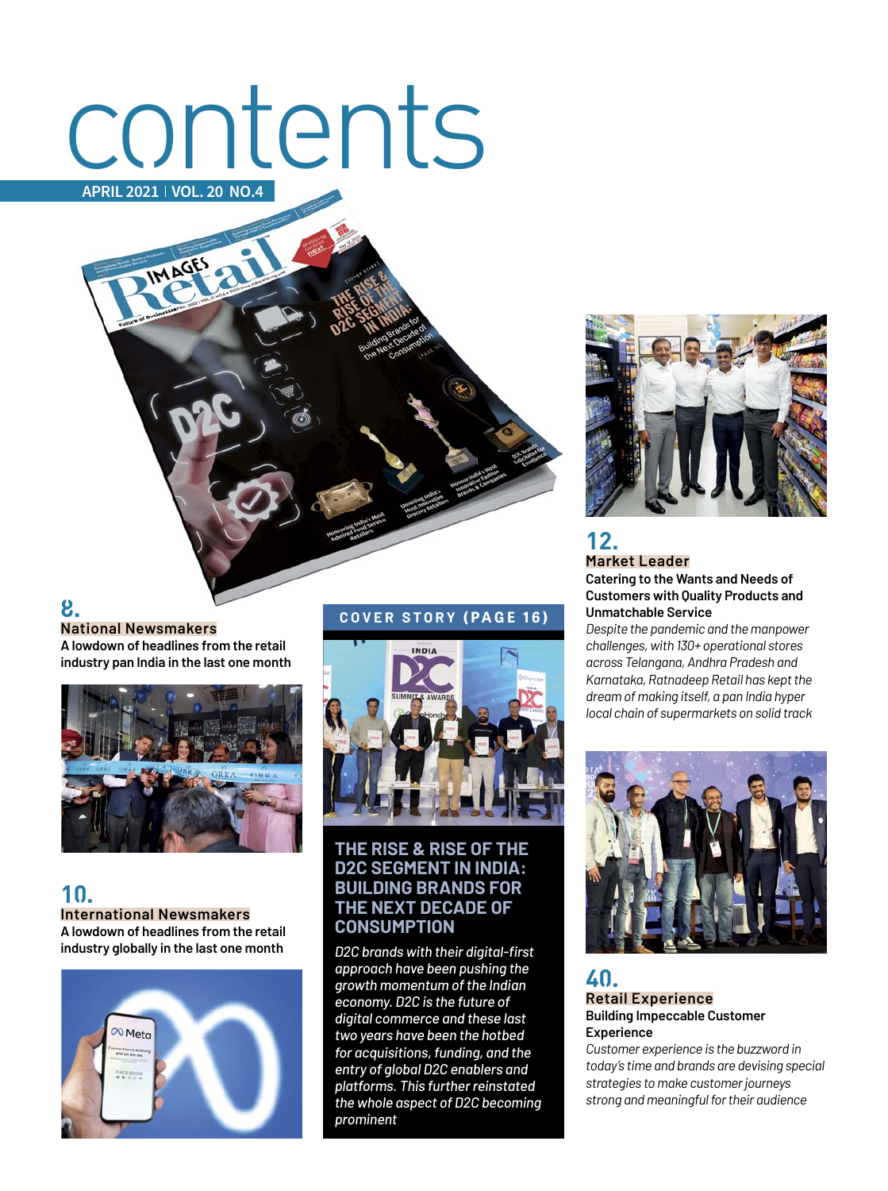# contents **APRIL 2021 VOL. 20 NO.4**



**A lowdown of headlines from the retail industry pan India in the last one month**



**10. International Newsmakers A lowdown of headlines from the retail industry globally in the last one month** 



#### **COVER STORY (PAGE 16)**



#### **THE RISE & RISE OF THE D2C SEGMENT IN INDIA: BUILDING BRANDS FOR THE NEXT DECADE OF CONSUMPTION**

*D2C brands with their digital-fi rst approach have been pushing the growth momentum of the Indian economy. D2C is the future of digital commerce and these last two years have been the hotbed for acquisitions, funding, and the entry of global D2C enablers and platforms. This further reinstated the whole aspect of D2C becoming prominent*



### **12. Market Leader**

**Catering to the Wants and Needs of Customers with Quality Products and Unmatchable Service**

*Despite the pandemic and the manpower challenges, with 130+ operational stores across Telangana, Andhra Pradesh and Karnataka, Ratnadeep Retail has kept the dream of making itself, a pan India hyper local chain of supermarkets on solid track*



#### **40. Retail Experience Building Impeccable Customer Experience**

*Customer experience is the buzzword in today's time and brands are devising special strategies to make customer journeys strong and meaningful for their audience*